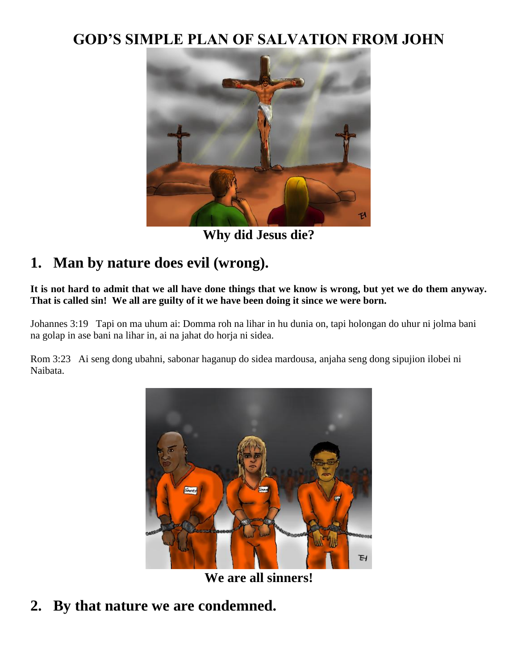### **GOD'S SIMPLE PLAN OF SALVATION FROM JOHN**



**Why did Jesus die?**

## **1. Man by nature does evil (wrong).**

**It is not hard to admit that we all have done things that we know is wrong, but yet we do them anyway. That is called sin! We all are guilty of it we have been doing it since we were born.**

Johannes 3:19 Tapi on ma uhum ai: Domma roh na lihar in hu dunia on, tapi holongan do uhur ni jolma bani na golap in ase bani na lihar in, ai na jahat do horja ni sidea.

Rom 3:23 Ai seng dong ubahni, sabonar haganup do sidea mardousa, anjaha seng dong sipujion ilobei ni Naibata.



**We are all sinners!**

**2. By that nature we are condemned.**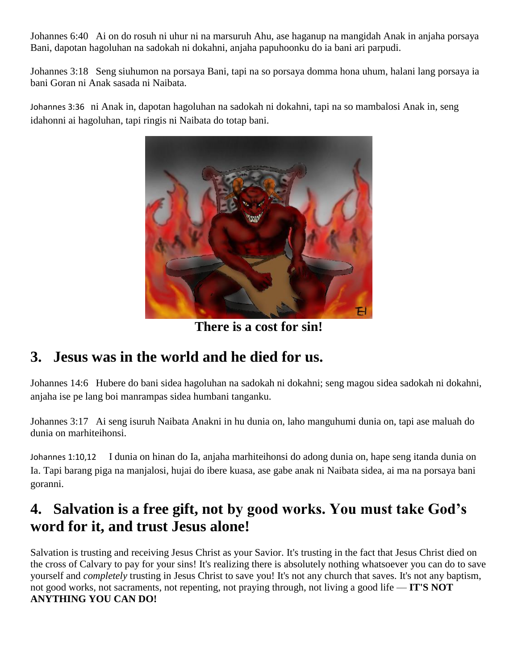Johannes 6:40 Ai on do rosuh ni uhur ni na marsuruh Ahu, ase haganup na mangidah Anak in anjaha porsaya Bani, dapotan hagoluhan na sadokah ni dokahni, anjaha papuhoonku do ia bani ari parpudi.

Johannes 3:18 Seng siuhumon na porsaya Bani, tapi na so porsaya domma hona uhum, halani lang porsaya ia bani Goran ni Anak sasada ni Naibata.

Johannes 3:36 ni Anak in, dapotan hagoluhan na sadokah ni dokahni, tapi na so mambalosi Anak in, seng idahonni ai hagoluhan, tapi ringis ni Naibata do totap bani.



**There is a cost for sin!**

## **3. Jesus was in the world and he died for us.**

Johannes 14:6 Hubere do bani sidea hagoluhan na sadokah ni dokahni; seng magou sidea sadokah ni dokahni, anjaha ise pe lang boi manrampas sidea humbani tanganku.

Johannes 3:17 Ai seng isuruh Naibata Anakni in hu dunia on, laho manguhumi dunia on, tapi ase maluah do dunia on marhiteihonsi.

Johannes 1:10,12 I dunia on hinan do Ia, anjaha marhiteihonsi do adong dunia on, hape seng itanda dunia on Ia. Tapi barang piga na manjalosi, hujai do ibere kuasa, ase gabe anak ni Naibata sidea, ai ma na porsaya bani goranni.

## **4. Salvation is a free gift, not by good works. You must take God's word for it, and trust Jesus alone!**

Salvation is trusting and receiving Jesus Christ as your Savior. It's trusting in the fact that Jesus Christ died on the cross of Calvary to pay for your sins! It's realizing there is absolutely nothing whatsoever you can do to save yourself and *completely* trusting in Jesus Christ to save you! It's not any church that saves. It's not any baptism, not good works, not sacraments, not repenting, not praying through, not living a good life — **IT'S NOT ANYTHING YOU CAN DO!**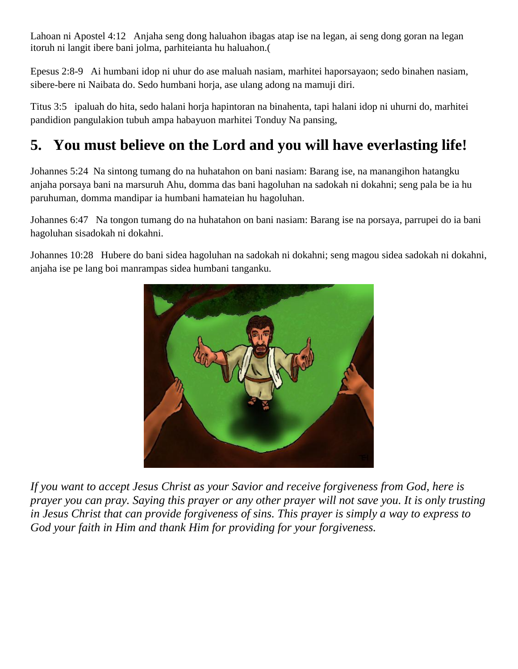Lahoan ni Apostel 4:12 Anjaha seng dong haluahon ibagas atap ise na legan, ai seng dong goran na legan itoruh ni langit ibere bani jolma, parhiteianta hu haluahon.(

Epesus 2:8-9 Ai humbani idop ni uhur do ase maluah nasiam, marhitei haporsayaon; sedo binahen nasiam, sibere-bere ni Naibata do. Sedo humbani horja, ase ulang adong na mamuji diri.

Titus 3:5 ipaluah do hita, sedo halani horja hapintoran na binahenta, tapi halani idop ni uhurni do, marhitei pandidion pangulakion tubuh ampa habayuon marhitei Tonduy Na pansing,

# **5. You must believe on the Lord and you will have everlasting life!**

Johannes 5:24 Na sintong tumang do na huhatahon on bani nasiam: Barang ise, na manangihon hatangku anjaha porsaya bani na marsuruh Ahu, domma das bani hagoluhan na sadokah ni dokahni; seng pala be ia hu paruhuman, domma mandipar ia humbani hamateian hu hagoluhan.

Johannes 6:47 Na tongon tumang do na huhatahon on bani nasiam: Barang ise na porsaya, parrupei do ia bani hagoluhan sisadokah ni dokahni.

Johannes 10:28 Hubere do bani sidea hagoluhan na sadokah ni dokahni; seng magou sidea sadokah ni dokahni, anjaha ise pe lang boi manrampas sidea humbani tanganku.



*If you want to accept Jesus Christ as your Savior and receive forgiveness from God, here is prayer you can pray. Saying this prayer or any other prayer will not save you. It is only trusting in Jesus Christ that can provide forgiveness of sins. This prayer is simply a way to express to God your faith in Him and thank Him for providing for your forgiveness.*